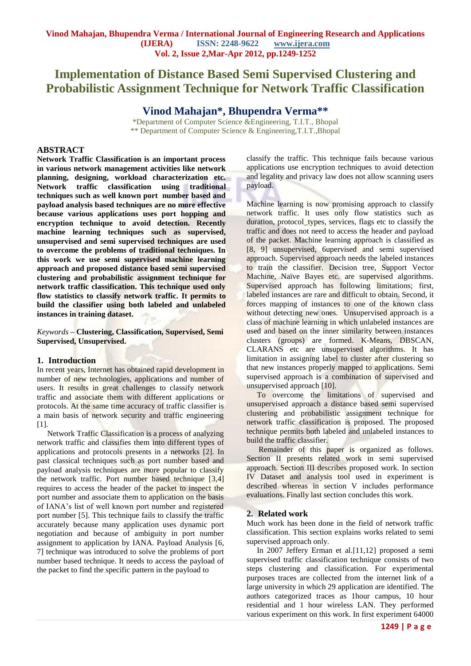# **Implementation of Distance Based Semi Supervised Clustering and Probabilistic Assignment Technique for Network Traffic Classification**

# **Vinod Mahajan\*, Bhupendra Verma\*\***

\*Department of Computer Science &Engineering, T.I.T., Bhopal \*\* Department of Computer Science & Engineering,T.I.T.,Bhopal

#### **ABSTRACT**

**Network Traffic Classification is an important process in various network management activities like network planning, designing, workload characterization etc. Network traffic classification using traditional techniques such as well known port number based and payload analysis based techniques are no more effective because various applications uses port hopping and encryption technique to avoid detection. Recently machine learning techniques such as supervised, unsupervised and semi supervised techniques are used to overcome the problems of traditional techniques. In this work we use semi supervised machine learning approach and proposed distance based semi supervised clustering and probabilistic assignment technique for network traffic classification. This technique used only flow statistics to classify network traffic. It permits to build the classifier using both labeled and unlabeled instances in training dataset.**

*Keywords* **– Clustering, Classification, Supervised, Semi Supervised, Unsupervised.**

#### **1. Introduction**

In recent years, Internet has obtained rapid development in number of new technologies, applications and number of users. It results in great challenges to classify network traffic and associate them with different applications or protocols. At the same time accuracy of traffic classifier is a main basis of network security and traffic engineering [1].

Network Traffic Classification is a process of analyzing network traffic and classifies them into different types of applications and protocols presents in a networks [2]. In past classical techniques such as port number based and payload analysis techniques are more popular to classify the network traffic. Port number based technique [3,4] requires to access the header of the packet to inspect the port number and associate them to application on the basis of IANA's list of well known port number and registered port number [5]. This technique fails to classify the traffic accurately because many application uses dynamic port negotiation and because of ambiguity in port number assignment to application by IANA. Payload Analysis [6, 7] technique was introduced to solve the problems of port number based technique. It needs to access the payload of the packet to find the specific pattern in the payload to

classify the traffic. This technique fails because various applications use encryption techniques to avoid detection and legality and privacy law does not allow scanning users payload.

Machine learning is now promising approach to classify network traffic. It uses only flow statistics such as duration, protocol types, services, flags etc to classify the traffic and does not need to access the header and payload of the packet. Machine learning approach is classified as [8, 9] unsupervised, 6upervised and semi supervised approach. Supervised approach needs the labeled instances to train the classifier. Decision tree, Support Vector Machine, Naïve Bayes etc. are supervised algorithms. Supervised approach has following limitations; first, labeled instances are rare and difficult to obtain. Second, it forces mapping of instances to one of the known class without detecting new ones. Unsupervised approach is a class of machine learning in which unlabeled instances are used and based on the inner similarity between instances clusters (groups) are formed. K-Means, DBSCAN, CLARANS etc are unsupervised algorithms. It has limitation in assigning label to cluster after clustering so that new instances properly mapped to applications. Semi supervised approach is a combination of supervised and unsupervised approach [10].

To overcome the limitations of supervised and unsupervised approach a distance based semi supervised clustering and probabilistic assignment technique for network traffic classification is proposed. The proposed technique permits both labeled and unlabeled instances to build the traffic classifier.

Remainder of this paper is organized as follows. Section II presents related work in semi supervised approach. Section III describes proposed work. In section IV Dataset and analysis tool used in experiment is described whereas in section V includes performance evaluations. Finally last section concludes this work.

#### **2. Related work**

Much work has been done in the field of network traffic classification. This section explains works related to semi supervised approach only.

In 2007 Jeffery Erman et al.[11,12] proposed a semi supervised traffic classification technique consists of two steps clustering and classification. For experimental purposes traces are collected from the internet link of a large university in which 29 application are identified. The authors categorized traces as 1hour campus, 10 hour residential and 1 hour wireless LAN. They performed various experiment on this work. In first experiment 64000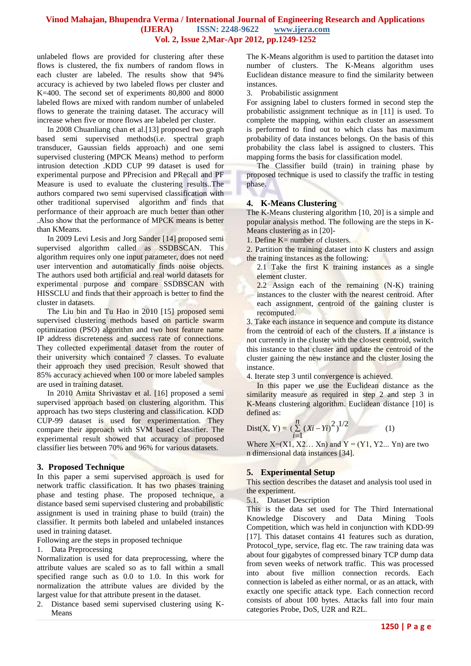## **Vinod Mahajan, Bhupendra Verma / International Journal of Engineering Research and Applications (IJERA) ISSN: 2248-9622 www.ijera.com Vol. 2, Issue 2,Mar-Apr 2012, pp.1249-1252**

unlabeled flows are provided for clustering after these flows is clustered, the fix numbers of random flows in each cluster are labeled. The results show that 94% accuracy is achieved by two labeled flows per cluster and K=400. The second set of experiments 80,800 and 8000 labeled flows are mixed with random number of unlabeled flows to generate the training dataset. The accuracy will increase when five or more flows are labeled per cluster.

In 2008 Chuanliang chan et al.[13] proposed two graph based semi supervised methods(i.e. spectral graph transducer, Gaussian fields approach) and one semi supervised clustering (MPCK Means) method to perform intrusion detection .KDD CUP 99 dataset is used for experimental purpose and PPrecision and PRecall and PF Measure is used to evaluate the clustering results..The authors compared two semi supervised classification with other traditional supervised algorithm and finds that performance of their approach are much better than other .Also show that the performance of MPCK means is better than KMeans.

In 2009 Levi Lesis and Jorg Sander [14] proposed semi supervised algorithm called as SSDBSCAN. This algorithm requires only one input parameter, does not need user intervention and automatically finds noise objects. The authors used both artificial and real world datasets for experimental purpose and compare SSDBSCAN with HISSCLU and finds that their approach is better to find the cluster in datasets.

The Liu bin and Tu Hao in 2010 [15] proposed semi supervised clustering methods based on particle swarm optimization (PSO) algorithm and two host feature name IP address discreteness and success rate of connections. They collected experimental dataset from the router of their university which contained 7 classes. To evaluate their approach they used precision. Result showed that 85% accuracy achieved when 100 or more labeled samples are used in training dataset.

In 2010 Amita Shrivastav et al. [16] proposed a semi supervised approach based on clustering algorithm. This approach has two steps clustering and classification. KDD CUP-99 dataset is used for experimentation. They compare their approach with SVM based classifier. The experimental result showed that accuracy of proposed classifier lies between 70% and 96% for various datasets.

## **3. Proposed Technique**

In this paper a semi supervised approach is used for network traffic classification. It has two phases training phase and testing phase. The proposed technique, a distance based semi supervised clustering and probabilistic assignment is used in training phase to build (train) the classifier. It permits both labeled and unlabeled instances used in training dataset.

Following are the steps in proposed technique

#### 1. Data Preprocessing

Normalization is used for data preprocessing, where the attribute values are scaled so as to fall within a small specified range such as 0.0 to 1.0. In this work for normalization the attribute values are divided by the largest value for that attribute present in the dataset.

2. Distance based semi supervised clustering using K-Means

The K-Means algorithm is used to partition the dataset into number of clusters. The K-Means algorithm uses Euclidean distance measure to find the similarity between instances.

3. Probabilistic assignment

For assigning label to clusters formed in second step the probabilistic assignment technique as in [11] is used. To complete the mapping, within each cluster an assessment is performed to find out to which class has maximum probability of data instances belongs. On the basis of this probability the class label is assigned to clusters. This mapping forms the basis for classification model.

The Classifier build (train) in training phase by proposed technique is used to classify the traffic in testing phase.

## **4. K-Means Clustering**

The K-Means clustering algorithm [10, 20] is a simple and popular analysis method. The following are the steps in K-Means clustering as in [20]-

1. Define  $K=$  number of clusters.

2. Partition the training dataset into K clusters and assign the training instances as the following:

- 2.1 Take the first  $K$  training instances as a single element cluster.
- 2.2 Assign each of the remaining (N-K) training instances to the cluster with the nearest centroid. After each assignment, centroid of the gaining cluster is recomputed.

3. Take each instance in sequence and compute its distance from the centroid of each of the clusters. If a instance is not currently in the cluster with the closest centroid, switch this instance to that cluster and update the centroid of the cluster gaining the new instance and the cluster losing the instance.

4. Iterate step 3 until convergence is achieved.

In this paper we use the Euclidean distance as the similarity measure as required in step 2 and step 3 in K-Means clustering algorithm. Euclidean distance [10] is defined as:

Dist(X, Y) = 
$$
(\sum_{i=1}^{n} (Xi - Yi)^2)^{1/2}
$$
 (1)

Where  $X=(X1, X2... Xn)$  and  $Y=(Y1, Y2... Yn)$  are two n dimensional data instances [34].

## **5. Experimental Setup**

This section describes the dataset and analysis tool used in the experiment.

5.1. Dataset Description

This is the data set used for The Third International Knowledge Discovery and Data Mining Tools Competition, which was held in conjunction with KDD-99 [17]. This dataset contains 41 features such as duration, Protocol\_type, service, flag etc. The raw training data was about four gigabytes of compressed binary TCP dump data from seven weeks of network traffic. This was processed into about five million connection records. Each connection is labeled as either normal, or as an attack, with exactly one specific attack type. Each connection record consists of about 100 bytes. Attacks fall into four main categories Probe, DoS, U2R and R2L.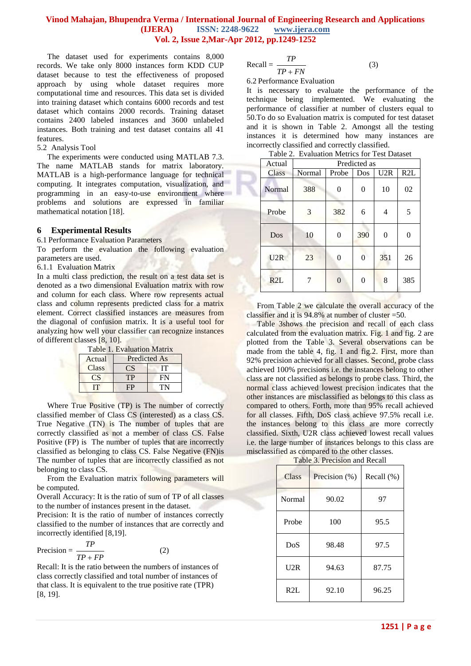## **Vinod Mahajan, Bhupendra Verma / International Journal of Engineering Research and Applications (IJERA) ISSN: 2248-9622 www.ijera.com Vol. 2, Issue 2,Mar-Apr 2012, pp.1249-1252**

The dataset used for experiments contains 8,000 records. We take only 8000 instances form KDD CUP dataset because to test the effectiveness of proposed approach by using whole dataset requires more computational time and resources. This data set is divided into training dataset which contains 6000 records and test dataset which contains 2000 records. Training dataset contains 2400 labeled instances and 3600 unlabeled instances. Both training and test dataset contains all 41 features.

#### 5.2 Analysis Tool

The experiments were conducted using MATLAB 7.3. The name MATLAB stands for matrix laboratory. MATLAB is a high-performance language for technical computing. It integrates computation, visualization, and programming in an easy-to-use environment where problems and solutions are expressed in familiar mathematical notation [18].

#### **6 Experimental Results**

6.1 Performance Evaluation Parameters

To perform the evaluation the following evaluation parameters are used.

6.1.1 Evaluation Matrix

In a multi class prediction, the result on a test data set is denoted as a two dimensional Evaluation matrix with row and column for each class. Where row represents actual class and column represents predicted class for a matrix element. Correct classified instances are measures from the diagonal of confusion matrix. It is a useful tool for analyzing how well your classifier can recognize instances of different classes [8, 10].

| Table 1. Evaluation Matrix |                     |    |  |  |  |
|----------------------------|---------------------|----|--|--|--|
| Actual                     | <b>Predicted As</b> |    |  |  |  |
| <b>Class</b>               | CS.                 | IТ |  |  |  |
| $\mathbb{C}S$              | TР                  | FN |  |  |  |
| Ш                          |                     | TN |  |  |  |

Where True Positive (TP) is The number of correctly classified member of Class CS (interested) as a class CS. True Negative (TN) is The number of tuples that are correctly classified as not a member of class CS. False Positive (FP) is The number of tuples that are incorrectly classified as belonging to class CS. False Negative (FN)is The number of tuples that are incorrectly classified as not belonging to class CS.

From the Evaluation matrix following parameters will be computed.

Overall Accuracy: It is the ratio of sum of TP of all classes to the number of instances present in the dataset.

Precision: It is the ratio of number of instances correctly classified to the number of instances that are correctly and incorrectly identified [8,19].

$$
Precision = \frac{TP}{TP + FP}
$$
 (2)

Recall: It is the ratio between the numbers of instances of class correctly classified and total number of instances of that class. It is equivalent to the true positive rate (TPR) [8, 19].

$$
Recall = \frac{TP}{TP + FN}
$$

6.2 Performance Evaluation

It is necessary to evaluate the performance of the technique being implemented. We evaluating the performance of classifier at number of clusters equal to 50.To do so Evaluation matrix is computed for test dataset and it is shown in Table 2. Amongst all the testing instances it is determined how many instances are incorrectly classified and correctly classified.

(3)

| Table 2. Evaluation Metrics for Test Dataset |              |          |     |          |     |
|----------------------------------------------|--------------|----------|-----|----------|-----|
| Actual                                       | Predicted as |          |     |          |     |
| Class                                        | Normal       | Probe    | Dos | U2R      | R2L |
| Normal                                       | 388          | 0        | 0   | 10       | 02  |
| Probe                                        | 3            | 382      | 6   | 4        | 5   |
| Dos                                          | 10           |          | 390 | $\theta$ |     |
| U2R                                          | 23           |          | 0   | 351      | 26  |
| R2L                                          |              | $\Omega$ | 0   | 8        | 385 |

From Table 2 we calculate the overall accuracy of the classifier and it is  $94.8\%$  at number of cluster =50.

Table 3shows the precision and recall of each class calculated from the evaluation matrix. Fig. 1 and fig. 2 are plotted from the Table 3. Several observations can be made from the table 4, fig. 1 and fig.2. First, more than 92% precision achieved for all classes. Second, probe class achieved 100% precisions i.e. the instances belong to other class are not classified as belongs to probe class. Third, the normal class achieved lowest precision indicates that the other instances are misclassified as belongs to this class as compared to others. Forth, more than 95% recall achieved for all classes. Fifth, DoS class achieve 97.5% recall i.e. the instances belong to this class are more correctly classified. Sixth, U2R class achieved lowest recall values i.e. the large number of instances belongs to this class are misclassified as compared to the other classes.

| Class  | Precision $(\%)$ | Recall (%) |  |
|--------|------------------|------------|--|
| Normal | 90.02            | 97         |  |
| Probe  | 100              | 95.5       |  |
| DoS    | 98.48            | 97.5       |  |
| U2R    | 94.63            | 87.75      |  |
| R2L    | 92.10            | 96.25      |  |